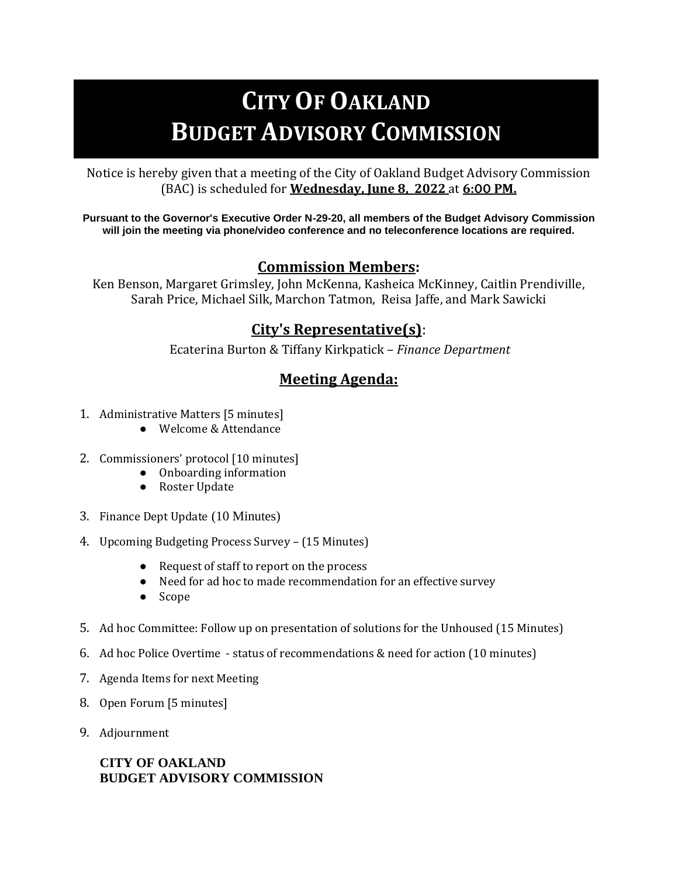# **CITY OF OAKLAND BUDGET ADVISORY COMMISSION**

Notice is hereby given that a meeting of the City of Oakland Budget Advisory Commission (BAC) is scheduled for **Wednesday, June 8, 2022** at **6:00 PM.** 

**Pursuant to the Governor's Executive Order N-29-20, all members of the Budget Advisory Commission will join the meeting via phone/video conference and no teleconference locations are required.**

## **Commission Members:**

Ken Benson, Margaret Grimsley, John McKenna, Kasheica McKinney, Caitlin Prendiville, Sarah Price, Michael Silk, Marchon Tatmon, Reisa Jaffe, and Mark Sawicki

## **City's Representative(s)**:

Ecaterina Burton & Tiffany Kirkpatick – *Finance Department*

# **Meeting Agenda:**

- 1. Administrative Matters [5 minutes]
	- Welcome & Attendance
- 2. Commissioners' protocol [10 minutes]
	- Onboarding information
	- Roster Update
- 3. Finance Dept Update (10 Minutes)
- 4. Upcoming Budgeting Process Survey (15 Minutes)
	- Request of staff to report on the process
	- Need for ad hoc to made recommendation for an effective survey
	- Scope
- 5. Ad hoc Committee: Follow up on presentation of solutions for the Unhoused (15 Minutes)
- 6. Ad hoc Police Overtime status of recommendations & need for action (10 minutes)
- 7. Agenda Items for next Meeting
- 8. Open Forum [5 minutes]
- 9. Adjournment

#### **CITY OF OAKLAND BUDGET ADVISORY COMMISSION**